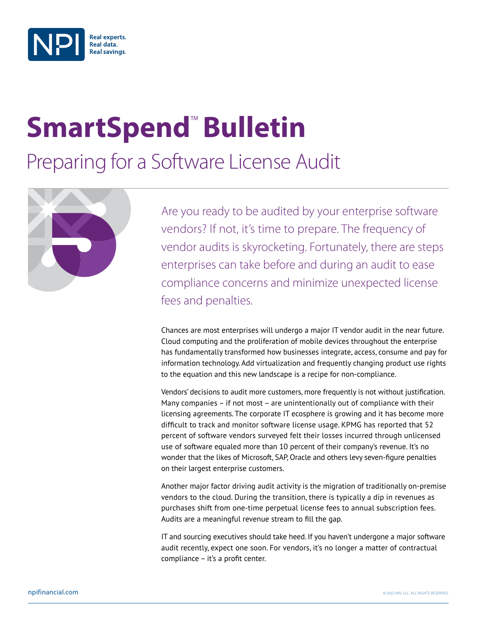

# **SmartSpend<sup>™</sup> Bulletin**

Preparing for a Software License Audit



Are you ready to be audited by your enterprise software vendors? If not, it's time to prepare. The frequency of vendor audits is skyrocketing. Fortunately, there are steps enterprises can take before and during an audit to ease compliance concerns and minimize unexpected license fees and penalties.

Chances are most enterprises will undergo a major IT vendor audit in the near future. Cloud computing and the proliferation of mobile devices throughout the enterprise has fundamentally transformed how businesses integrate, access, consume and pay for information technology. Add virtualization and frequently changing product use rights to the equation and this new landscape is a recipe for non-compliance.

Vendors' decisions to audit more customers, more frequently is not without justification. Many companies – if not most – are unintentionally out of compliance with their licensing agreements. The corporate IT ecosphere is growing and it has become more difficult to track and monitor software license usage. KPMG has reported that 52 percent of software vendors surveyed felt their losses incurred through unlicensed use of software equaled more than 10 percent of their company's revenue. It's no wonder that the likes of Microsoft, SAP, Oracle and others levy seven-figure penalties on their largest enterprise customers.

Another major factor driving audit activity is the migration of traditionally on-premise vendors to the cloud. During the transition, there is typically a dip in revenues as purchases shift from one-time perpetual license fees to annual subscription fees. Audits are a meaningful revenue stream to fill the gap.

IT and sourcing executives should take heed. If you haven't undergone a major software audit recently, expect one soon. For vendors, it's no longer a matter of contractual compliance – it's a profit center.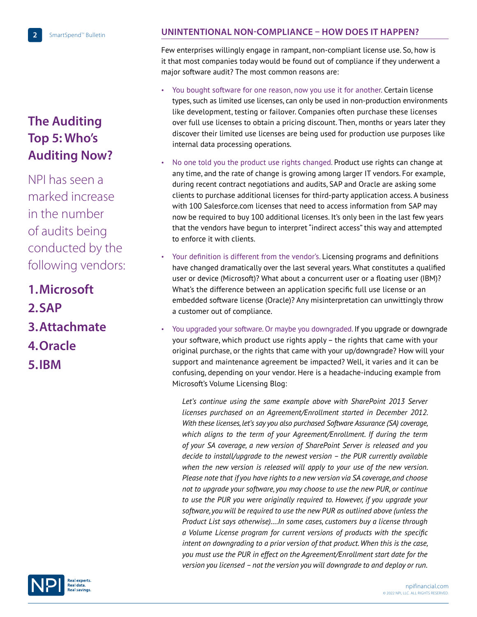# **The Auditing Top 5: Who's Auditing Now?**

NPI has seen a marked increase in the number of audits being conducted by the following vendors:

**1. Microsoft 2. SAP**

- **3. Attachmate**
- **4. Oracle**
- **5. IBM**



## **Unintentional Non-Compliance – How Does it Happen?**

Few enterprises willingly engage in rampant, non-compliant license use. So, how is it that most companies today would be found out of compliance if they underwent a major software audit? The most common reasons are:

- You bought software for one reason, now you use it for another. Certain license types, such as limited use licenses, can only be used in non-production environments like development, testing or failover. Companies often purchase these licenses over full use licenses to obtain a pricing discount. Then, months or years later they discover their limited use licenses are being used for production use purposes like internal data processing operations.
- No one told you the product use rights changed. Product use rights can change at any time, and the rate of change is growing among larger IT vendors. For example, during recent contract negotiations and audits, SAP and Oracle are asking some clients to purchase additional licenses for third-party application access. A business with 100 Salesforce.com licenses that need to access information from SAP may now be required to buy 100 additional licenses. It's only been in the last few years that the vendors have begun to interpret "indirect access" this way and attempted to enforce it with clients.
- Your definition is different from the vendor's. Licensing programs and definitions have changed dramatically over the last several years. What constitutes a qualified user or device (Microsoft)? What about a concurrent user or a floating user (IBM)? What's the difference between an application specific full use license or an embedded software license (Oracle)? Any misinterpretation can unwittingly throw a customer out of compliance.
- You upgraded your software. Or maybe you downgraded. If you upgrade or downgrade your software, which product use rights apply – the rights that came with your original purchase, or the rights that came with your up/downgrade? How will your support and maintenance agreement be impacted? Well, it varies and it can be confusing, depending on your vendor. Here is a headache-inducing example from Microsoft's Volume Licensing Blog:

 *Let's continue using the same example above with SharePoint 2013 Server licenses purchased on an Agreement/Enrollment started in December 2012. With these licenses, let's say you also purchased Software Assurance (SA) coverage, which aligns to the term of your Agreement/Enrollment. If during the term of your SA coverage, a new version of SharePoint Server is released and you decide to install/upgrade to the newest version – the PUR currently available when the new version is released will apply to your use of the new version. Please note that if you have rights to a new version via SA coverage, and choose not to upgrade your software, you may choose to use the new PUR, or continue to use the PUR you were originally required to. However, if you upgrade your software, you will be required to use the new PUR as outlined above (unless the Product List says otherwise)….In some cases, customers buy a license through a Volume License program for current versions of products with the specific intent on downgrading to a prior version of that product. When this is the case, you must use the PUR in effect on the Agreement/Enrollment start date for the version you licensed – not the version you will downgrade to and deploy or run.*

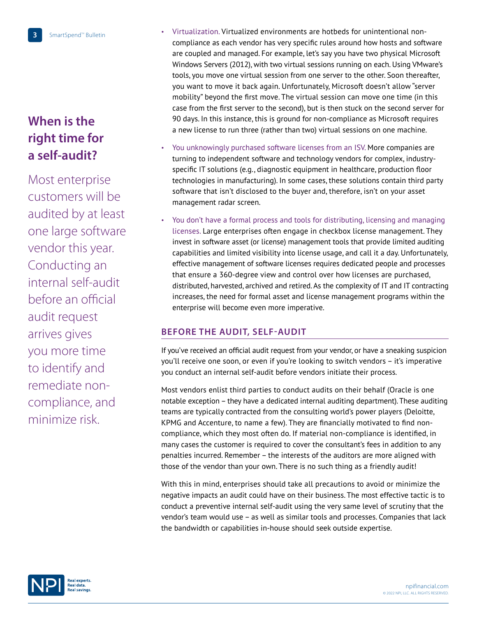**3** SmartSpend™ Bulletin

## **When is the right time for a self-audit?**

Most enterprise customers will be audited by at least one large software vendor this year. Conducting an internal self-audit before an official audit request arrives gives you more time to identify and remediate noncompliance, and minimize risk.

- Virtualization. Virtualized environments are hotbeds for unintentional noncompliance as each vendor has very specific rules around how hosts and software are coupled and managed. For example, let's say you have two physical Microsoft Windows Servers (2012), with two virtual sessions running on each. Using VMware's tools, you move one virtual session from one server to the other. Soon thereafter, you want to move it back again. Unfortunately, Microsoft doesn't allow "server mobility" beyond the first move. The virtual session can move one time (in this case from the first server to the second), but is then stuck on the second server for 90 days. In this instance, this is ground for non-compliance as Microsoft requires a new license to run three (rather than two) virtual sessions on one machine.
- You unknowingly purchased software licenses from an ISV. More companies are turning to independent software and technology vendors for complex, industryspecific IT solutions (e.g., diagnostic equipment in healthcare, production floor technologies in manufacturing). In some cases, these solutions contain third party software that isn't disclosed to the buyer and, therefore, isn't on your asset management radar screen.
- You don't have a formal process and tools for distributing, licensing and managing licenses. Large enterprises often engage in checkbox license management. They invest in software asset (or license) management tools that provide limited auditing capabilities and limited visibility into license usage, and call it a day. Unfortunately, effective management of software licenses requires dedicated people and processes that ensure a 360-degree view and control over how licenses are purchased, distributed, harvested, archived and retired. As the complexity of IT and IT contracting increases, the need for formal asset and license management programs within the enterprise will become even more imperative.

### **Before the Audit, Self-Audit**

If you've received an official audit request from your vendor, or have a sneaking suspicion you'll receive one soon, or even if you're looking to switch vendors – it's imperative you conduct an internal self-audit before vendors initiate their process.

Most vendors enlist third parties to conduct audits on their behalf (Oracle is one notable exception – they have a dedicated internal auditing department). These auditing teams are typically contracted from the consulting world's power players (Deloitte, KPMG and Accenture, to name a few). They are financially motivated to find noncompliance, which they most often do. If material non-compliance is identified, in many cases the customer is required to cover the consultant's fees in addition to any penalties incurred. Remember – the interests of the auditors are more aligned with those of the vendor than your own. There is no such thing as a friendly audit!

With this in mind, enterprises should take all precautions to avoid or minimize the negative impacts an audit could have on their business. The most effective tactic is to conduct a preventive internal self-audit using the very same level of scrutiny that the vendor's team would use – as well as similar tools and processes. Companies that lack the bandwidth or capabilities in-house should seek outside expertise.

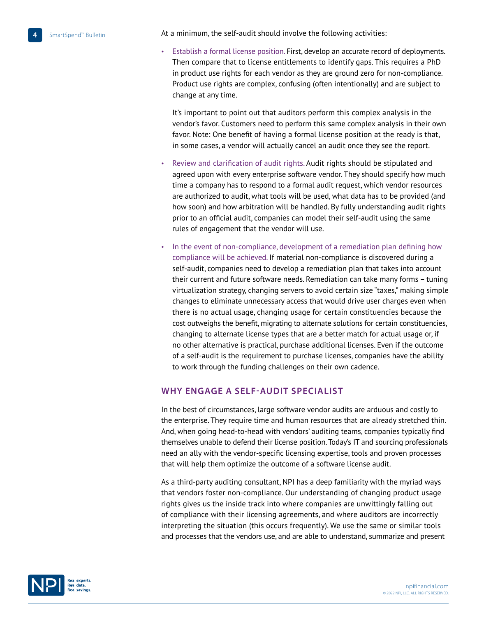**4** SmartSpend™ Bulletin

At a minimum, the self-audit should involve the following activities:

• Establish a formal license position. First, develop an accurate record of deployments. Then compare that to license entitlements to identify gaps. This requires a PhD in product use rights for each vendor as they are ground zero for non-compliance. Product use rights are complex, confusing (often intentionally) and are subject to change at any time.

It's important to point out that auditors perform this complex analysis in the vendor's favor. Customers need to perform this same complex analysis in their own favor. Note: One benefit of having a formal license position at the ready is that, in some cases, a vendor will actually cancel an audit once they see the report.

- Review and clarification of audit rights. Audit rights should be stipulated and agreed upon with every enterprise software vendor. They should specify how much time a company has to respond to a formal audit request, which vendor resources are authorized to audit, what tools will be used, what data has to be provided (and how soon) and how arbitration will be handled. By fully understanding audit rights prior to an official audit, companies can model their self-audit using the same rules of engagement that the vendor will use.
- In the event of non-compliance, development of a remediation plan defining how compliance will be achieved. If material non-compliance is discovered during a self-audit, companies need to develop a remediation plan that takes into account their current and future software needs. Remediation can take many forms – tuning virtualization strategy, changing servers to avoid certain size "taxes," making simple changes to eliminate unnecessary access that would drive user charges even when there is no actual usage, changing usage for certain constituencies because the cost outweighs the benefit, migrating to alternate solutions for certain constituencies, changing to alternate license types that are a better match for actual usage or, if no other alternative is practical, purchase additional licenses. Even if the outcome of a self-audit is the requirement to purchase licenses, companies have the ability to work through the funding challenges on their own cadence.

#### **Why Engage a Self-Audit Specialist**

In the best of circumstances, large software vendor audits are arduous and costly to the enterprise. They require time and human resources that are already stretched thin. And, when going head-to-head with vendors' auditing teams, companies typically find themselves unable to defend their license position. Today's IT and sourcing professionals need an ally with the vendor-specific licensing expertise, tools and proven processes that will help them optimize the outcome of a software license audit.

As a third-party auditing consultant, NPI has a deep familiarity with the myriad ways that vendors foster non-compliance. Our understanding of changing product usage rights gives us the inside track into where companies are unwittingly falling out of compliance with their licensing agreements, and where auditors are incorrectly interpreting the situation (this occurs frequently). We use the same or similar tools and processes that the vendors use, and are able to understand, summarize and present